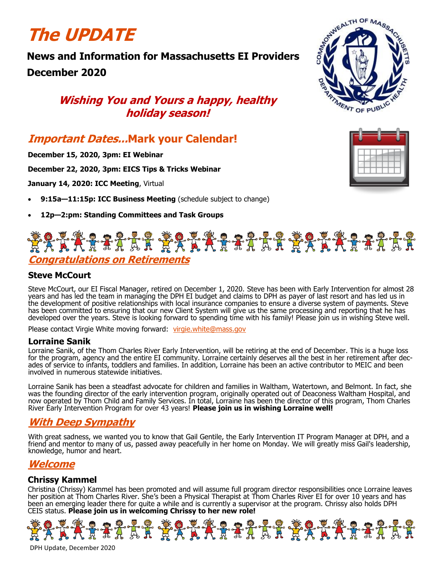# **The UPDATE**

# **News and Information for Massachusetts EI Providers December 2020**

# **Wishing You and Yours a happy, healthy holiday season!**

# **Important Dates...Mark your Calendar!**

**December 15, 2020, 3pm: EI Webinar**

**December 22, 2020, 3pm: EICS Tips & Tricks Webinar**

**January 14, 2020: ICC Meeting**, Virtual

- **9:15a—11:15p: ICC Business Meeting** (schedule subject to change)
- **12p—2:pm: Standing Committees and Task Groups**

# SONTWEALTH OF MASS **ATIVIENT OF PUBLIC**



# **\*\*\*\*\*\*\*\*\*\*\*\*\*\*\*\*\*\*\*\*\*\*\*\*\*\*\*\*\*\*\*\* Congratulations on Retirements**

#### **Steve McCourt**

Steve McCourt, our EI Fiscal Manager, retired on December 1, 2020. Steve has been with Early Intervention for almost 28 years and has led the team in managing the DPH EI budget and claims to DPH as payer of last resort and has led us in the development of positive relationships with local insurance companies to ensure a diverse system of payments. Steve has been committed to ensuring that our new Client System will give us the same processing and reporting that he has developed over the years. Steve is looking forward to spending time with his family! Please join us in wishing Steve well.

Please contact Virgie White moving forward: [virgie.white@mass.gov](mailto:virgie.white@mass.gov)

#### **Lorraine Sanik**

Lorraine Sanik, of the Thom Charles River Early Intervention, will be retiring at the end of December. This is a huge loss for the program, agency and the entire EI community. Lorraine certainly deserves all the best in her retirement after decades of service to infants, toddlers and families. In addition, Lorraine has been an active contributor to MEIC and been involved in numerous statewide initiatives.

Lorraine Sanik has been a steadfast advocate for children and families in Waltham, Watertown, and Belmont. In fact, she was the founding director of the early intervention program, originally operated out of Deaconess Waltham Hospital, and now operated by Thom Child and Family Services. In total, Lorraine has been the director of this program, Thom Charles River Early Intervention Program for over 43 years! **Please join us in wishing Lorraine well!**

### **With Deep Sympathy**

With great sadness, we wanted you to know that Gail Gentile, the Early Intervention IT Program Manager at DPH, and a friend and mentor to many of us, passed away peacefully in her home on Monday. We will greatly miss Gail's leadership, knowledge, humor and heart.

## **Welcome**

#### **Chrissy Kammel**

Christina (Chrissy) Kammel has been promoted and will assume full program director responsibilities once Lorraine leaves her position at Thom Charles River. She's been a Physical Therapist at Thom Charles River EI for over 10 years and has been an emerging leader there for quite a while and is currently a supervisor at the program. Chrissy also holds DPH CEIS status. **Please join us in welcoming Chrissy to her new role!**

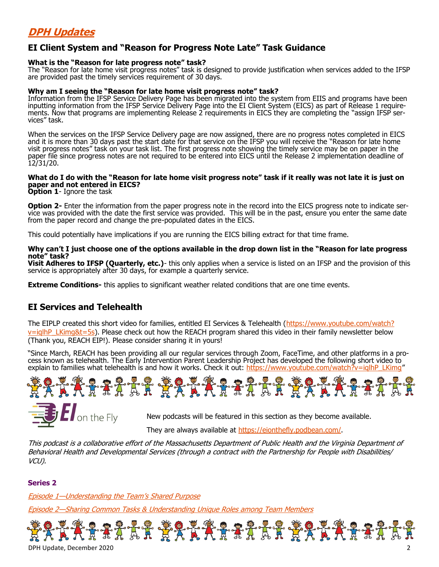# **DPH Updates**

#### **EI Client System and "Reason for Progress Note Late" Task Guidance**

#### **What is the "Reason for late progress note" task?**

The "Reason for late home visit progress notes" task is designed to provide justification when services added to the IFSP are provided past the timely services requirement of 30 days.

#### **Why am I seeing the "Reason for late home visit progress note" task?**

Information from the IFSP Service Delivery Page has been migrated into the system from EIIS and programs have been inputting information from the IFSP Service Delivery Page into the EI Client System (EICS) as part of Release 1 requirements. Now that programs are implementing Release 2 requirements in EICS they are completing the "assign IFSP services" task.

When the services on the IFSP Service Delivery page are now assigned, there are no progress notes completed in EICS and it is more than 30 days past the start date for that service on the IFSP you will receive the "Reason for late home visit progress notes" task on your task list. The first progress note showing the timely service may be on paper in the paper file since progress notes are not required to be entered into EICS until the Release 2 implementation deadline of 12/31/20.

#### **What do I do with the "Reason for late home visit progress note" task if it really was not late it is just on paper and not entered in EICS?**

**Option 1**- Ignore the task

**Option 2-** Enter the information from the paper progress note in the record into the EICS progress note to indicate service was provided with the date the first service was provided. This will be in the past, ensure you enter the same date from the paper record and change the pre-populated dates in the EICS.

This could potentially have implications if you are running the EICS billing extract for that time frame.

#### **Why can't I just choose one of the options available in the drop down list in the "Reason for late progress note" task?**

**Visit Adheres to IFSP (Quarterly, etc.)**- this only applies when a service is listed on an IFSP and the provision of this service is appropriately after 30 days, for example a quarterly service.

**Extreme Conditions-** this applies to significant weather related conditions that are one time events.

#### **EI Services and Telehealth**

The EIPLP created this short video for families, entitled EI Services & Telehealth ([https://www.youtube.com/watch?](https://www.youtube.com/watch?v=iqlhP_LKimg&t=5s)  $v=$ iqlhP\_LKimg&t=5s). Please check out how the REACH program shared this video in their family newsletter below (Thank you, REACH EIP!). Please consider sharing it in yours!

"Since March, REACH has been providing all our regular services through Zoom, FaceTime, and other platforms in a process known as telehealth. The Early Intervention Parent Leadership Project has developed the following short video to explain to families what telehealth is and how it works. Check it out: https://www.youtube.com/watch?v=iglhP\_LKimg"





New podcasts will be featured in this section as they become available.

They are always available at [https://eionthefly.podbean.com/.](https://eionthefly.podbean.com/)

This podcast is a collaborative effort of the Massachusetts Department of Public Health and the Virginia Department of Behavioral Health and Developmental Services (through a contract with the Partnership for People with Disabilities/ VCU).

#### **Series 2**

Episode 1[—Understanding the Team](https://eionthefly.podbean.com/e/episode-1-%e2%80%93-understanding-the-team-s-shared-purpose/)'s Shared Purpose

Episode 2[—Sharing Common Tasks & Understanding Unique Roles among Team Members](https://eionthefly.podbean.com/e/series-2-episode-2-sharing-common-tasks-understanding-unique-roles-among-team-members/)